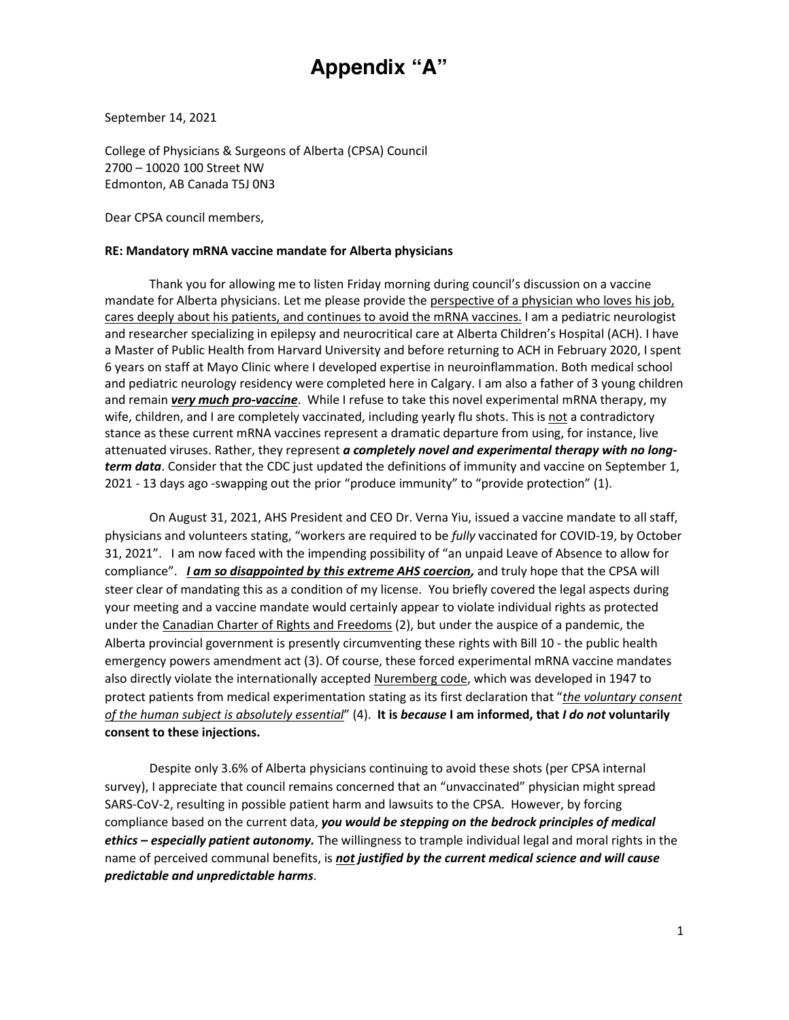# **Appendix "A"**

September 14, 2021

College of Physicians & Surgeons of Alberta (CPSA) Council 2700 – 10020 100 Street NW Edmonton, AB Canada T5J 0N3

Dear CPSA council members,

#### **RE: Mandatory mRNA vaccine mandate for Alberta physicians**

Thank you for allowing me to listen Friday morning during council's discussion on a vaccine mandate for Alberta physicians. Let me please provide the perspective of a physician who loves his job, cares deeply about his patients, and continues to avoid the mRNA vaccines. I am a pediatric neurologist and researcher specializing in epilepsy and neurocritical care at Alberta Children's Hospital (ACH). I have a Master of Public Health from Harvard University and before returning to ACH in February 2020, I spent 6 years on staff at Mayo Clinic where I developed expertise in neuroinflammation. Both medical school and pediatric neurology residency were completed here in Calgary. I am also a father of 3 young children and remain *very much pro-vaccine*. While I refuse to take this novel experimental mRNA therapy, my wife, children, and I are completely vaccinated, including yearly flu shots. This is not a contradictory stance as these current mRNA vaccines represent a dramatic departure from using, for instance, live attenuated viruses. Rather, they represent *a completely novel and experimental therapy with no longterm data*. Consider that the CDC just updated the definitions of immunity and vaccine on September 1, 2021 - 13 days ago -swapping out the prior "produce immunity" to "provide protection" (1).

On August 31, 2021, AHS President and CEO Dr. Verna Yiu, issued a vaccine mandate to all staff, physicians and volunteers stating, "workers are required to be *fully* vaccinated for COVID-19, by October 31, 2021". I am now faced with the impending possibility of "an unpaid Leave of Absence to allow for compliance". *I am so disappointed by this extreme AHS coercion,* and truly hope that the CPSA will steer clear of mandating this as a condition of my license. You briefly covered the legal aspects during your meeting and a vaccine mandate would certainly appear to violate individual rights as protected under the Canadian Charter of Rights and Freedoms (2), but under the auspice of a pandemic, the Alberta provincial government is presently circumventing these rights with Bill 10 - the public health emergency powers amendment act (3). Of course, these forced experimental mRNA vaccine mandates also directly violate the internationally accepted Nuremberg code, which was developed in 1947 to protect patients from medical experimentation stating as its first declaration that "*the voluntary consent of the human subject is absolutely essential*" (4). **It is** *because* **I am informed, that** *I do not* **voluntarily consent to these injections.** 

Despite only 3.6% of Alberta physicians continuing to avoid these shots (per CPSA internal survey), I appreciate that council remains concerned that an "unvaccinated" physician might spread SARS-CoV-2, resulting in possible patient harm and lawsuits to the CPSA. However, by forcing compliance based on the current data, *you would be stepping on the bedrock principles of medical ethics – especially patient autonomy.* The willingness to trample individual legal and moral rights in the name of perceived communal benefits, is *not justified by the current medical science and will cause predictable and unpredictable harms*.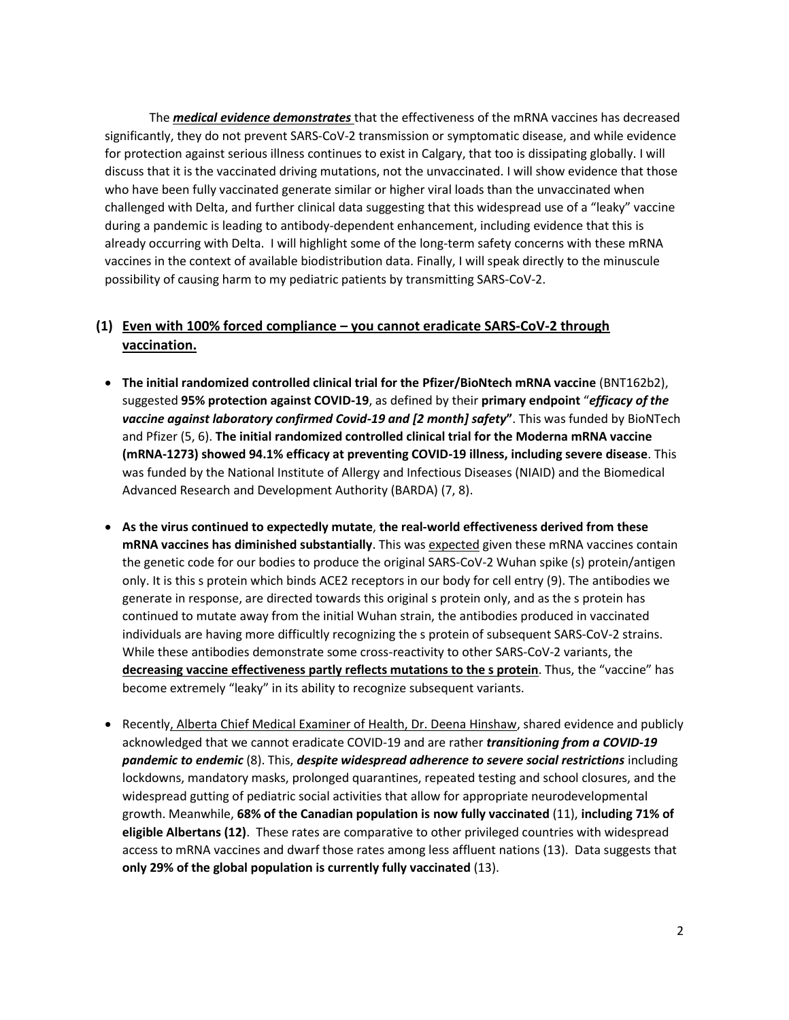The *medical evidence demonstrates* that the effectiveness of the mRNA vaccines has decreased significantly, they do not prevent SARS-CoV-2 transmission or symptomatic disease, and while evidence for protection against serious illness continues to exist in Calgary, that too is dissipating globally. I will discuss that it is the vaccinated driving mutations, not the unvaccinated. I will show evidence that those who have been fully vaccinated generate similar or higher viral loads than the unvaccinated when challenged with Delta, and further clinical data suggesting that this widespread use of a "leaky" vaccine during a pandemic is leading to antibody-dependent enhancement, including evidence that this is already occurring with Delta. I will highlight some of the long-term safety concerns with these mRNA vaccines in the context of available biodistribution data. Finally, I will speak directly to the minuscule possibility of causing harm to my pediatric patients by transmitting SARS-CoV-2.

# **(1) Even with 100% forced compliance – you cannot eradicate SARS-CoV-2 through vaccination.**

- x **The initial randomized controlled clinical trial for the Pfizer/BioNtech mRNA vaccine** (BNT162b2), suggested **95% protection against COVID-19**, as defined by their **primary endpoint** "*efficacy of the vaccine against laboratory confirmed Covid-19 and [2 month] safety***"**. This was funded by BioNTech and Pfizer (5, 6). **The initial randomized controlled clinical trial for the Moderna mRNA vaccine (mRNA-1273) showed 94.1% efficacy at preventing COVID-19 illness, including severe disease**. This was funded by the National Institute of Allergy and Infectious Diseases (NIAID) and the Biomedical Advanced Research and Development Authority (BARDA) (7, 8).
- x **As the virus continued to expectedly mutate**, **the real-world effectiveness derived from these mRNA vaccines has diminished substantially**. This was expected given these mRNA vaccines contain the genetic code for our bodies to produce the original SARS-CoV-2 Wuhan spike (s) protein/antigen only. It is this s protein which binds ACE2 receptors in our body for cell entry (9). The antibodies we generate in response, are directed towards this original s protein only, and as the s protein has continued to mutate away from the initial Wuhan strain, the antibodies produced in vaccinated individuals are having more difficultly recognizing the s protein of subsequent SARS-CoV-2 strains. While these antibodies demonstrate some cross-reactivity to other SARS-CoV-2 variants, the **decreasing vaccine effectiveness partly reflects mutations to the s protein**. Thus, the "vaccine" has become extremely "leaky" in its ability to recognize subsequent variants.
- Recently, Alberta Chief Medical Examiner of Health, Dr. Deena Hinshaw, shared evidence and publicly acknowledged that we cannot eradicate COVID-19 and are rather *transitioning from a COVID-19 pandemic to endemic* (8). This, *despite widespread adherence to severe social restrictions* including lockdowns, mandatory masks, prolonged quarantines, repeated testing and school closures, and the widespread gutting of pediatric social activities that allow for appropriate neurodevelopmental growth. Meanwhile, **68% of the Canadian population is now fully vaccinated** (11), **including 71% of eligible Albertans (12)**. These rates are comparative to other privileged countries with widespread access to mRNA vaccines and dwarf those rates among less affluent nations (13). Data suggests that **only 29% of the global population is currently fully vaccinated** (13).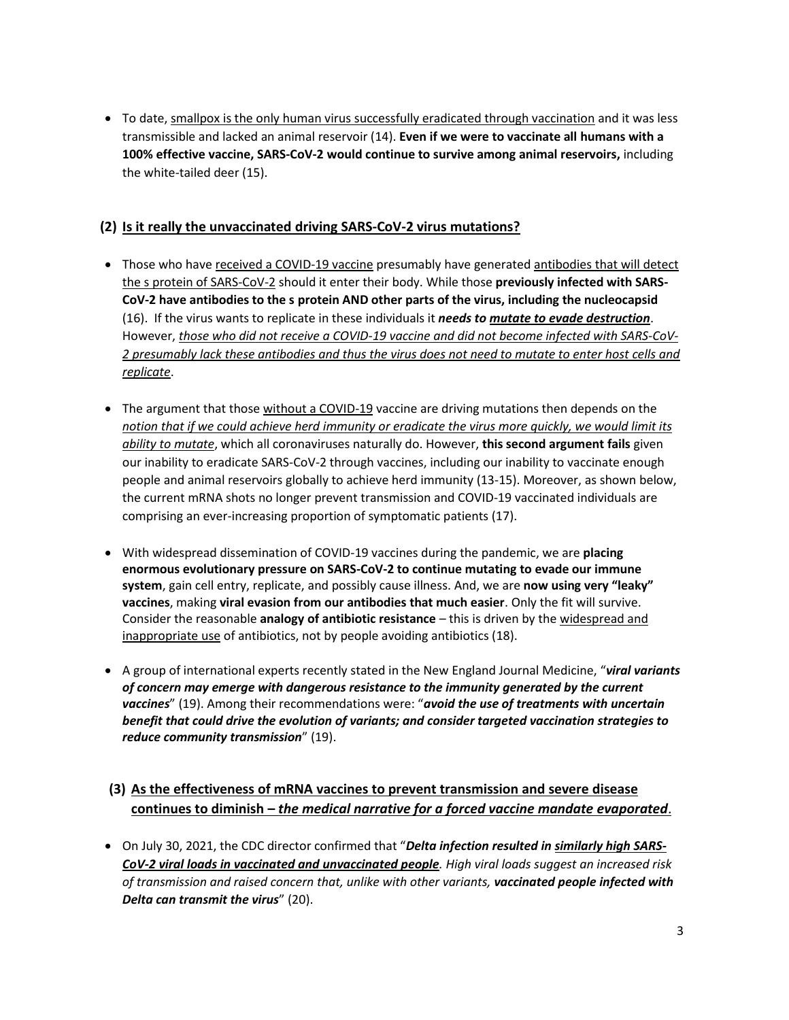• To date, smallpox is the only human virus successfully eradicated through vaccination and it was less transmissible and lacked an animal reservoir (14). **Even if we were to vaccinate all humans with a 100% effective vaccine, SARS-CoV-2 would continue to survive among animal reservoirs,** including the white-tailed deer (15).

# **(2) Is it really the unvaccinated driving SARS-CoV-2 virus mutations?**

- Those who have received a COVID-19 vaccine presumably have generated antibodies that will detect the s protein of SARS-CoV-2 should it enter their body. While those **previously infected with SARS-CoV-2 have antibodies to the s protein AND other parts of the virus, including the nucleocapsid** (16). If the virus wants to replicate in these individuals it *needs to mutate to evade destruction*. However, *those who did not receive a COVID-19 vaccine and did not become infected with SARS-CoV-2 presumably lack these antibodies and thus the virus does not need to mutate to enter host cells and replicate*.
- The argument that those without a COVID-19 vaccine are driving mutations then depends on the *notion that if we could achieve herd immunity or eradicate the virus more quickly, we would limit its ability to mutate*, which all coronaviruses naturally do. However, **this second argument fails** given our inability to eradicate SARS-CoV-2 through vaccines, including our inability to vaccinate enough people and animal reservoirs globally to achieve herd immunity (13-15). Moreover, as shown below, the current mRNA shots no longer prevent transmission and COVID-19 vaccinated individuals are comprising an ever-increasing proportion of symptomatic patients (17).
- **•** With widespread dissemination of COVID-19 vaccines during the pandemic, we are **placing enormous evolutionary pressure on SARS-CoV-2 to continue mutating to evade our immune system**, gain cell entry, replicate, and possibly cause illness. And, we are **now using very "leaky" vaccines**, making **viral evasion from our antibodies that much easier**. Only the fit will survive. Consider the reasonable **analogy of antibiotic resistance** – this is driven by the widespread and inappropriate use of antibiotics, not by people avoiding antibiotics (18).
- x A group of international experts recently stated in the New England Journal Medicine, "*viral variants of concern may emerge with dangerous resistance to the immunity generated by the current vaccines*" (19). Among their recommendations were: "*avoid the use of treatments with uncertain benefit that could drive the evolution of variants; and consider targeted vaccination strategies to reduce community transmission*" (19).

# **(3) As the effectiveness of mRNA vaccines to prevent transmission and severe disease continues to diminish –** *the medical narrative for a forced vaccine mandate evaporated*.

• On July 30, 2021, the CDC director confirmed that "**Delta infection resulted in similarly high SARS-***CoV-2 viral loads in vaccinated and unvaccinated people. High viral loads suggest an increased risk of transmission and raised concern that, unlike with other variants, vaccinated people infected with Delta can transmit the virus*" (20).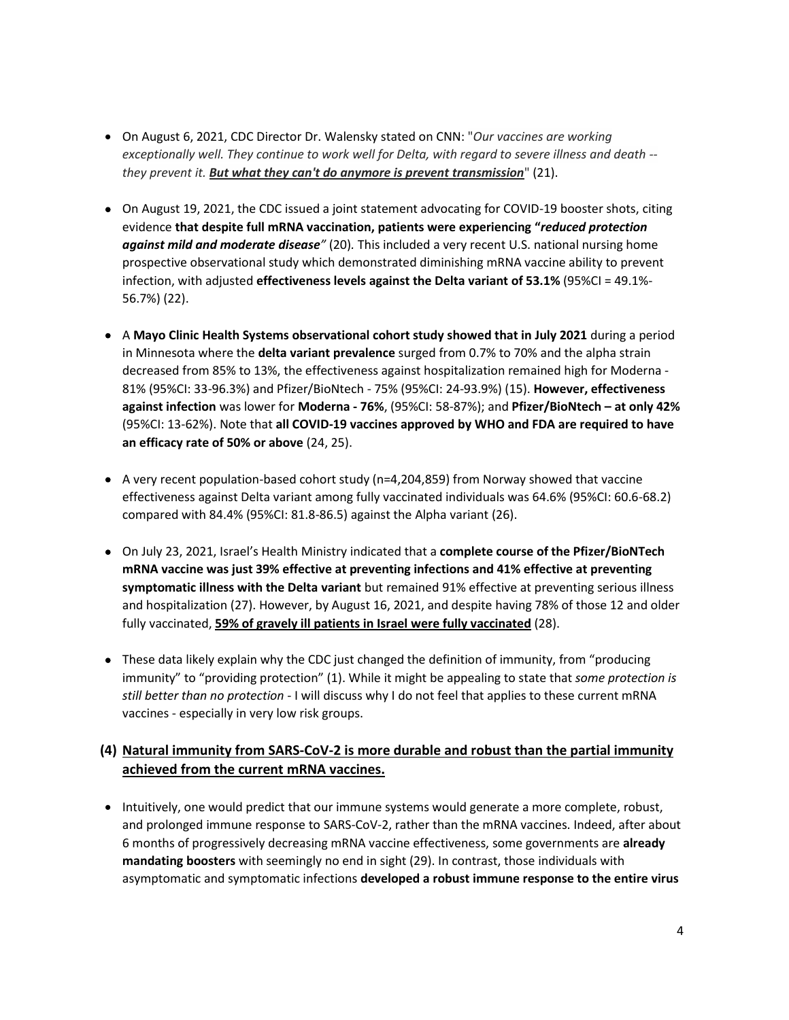- x On August 6, 2021, CDC Director Dr. Walensky stated on CNN: "*Our vaccines are working exceptionally well. They continue to work well for Delta, with regard to severe illness and death - they prevent it. But what they can't do anymore is prevent transmission*" (21).
- On August 19, 2021, the CDC issued a joint statement advocating for COVID-19 booster shots, citing evidence **that despite full mRNA vaccination, patients were experiencing "***reduced protection against mild and moderate disease"* (20)*.* This included a very recent U.S. national nursing home prospective observational study which demonstrated diminishing mRNA vaccine ability to prevent infection, with adjusted **effectiveness levels against the Delta variant of 53.1%** (95%CI = 49.1%- 56.7%) (22).
- x A **Mayo Clinic Health Systems observational cohort study showed that in July 2021** during a period in Minnesota where the **delta variant prevalence** surged from 0.7% to 70% and the alpha strain decreased from 85% to 13%, the effectiveness against hospitalization remained high for Moderna - 81% (95%CI: 33-96.3%) and Pfizer/BioNtech - 75% (95%CI: 24-93.9%) (15). **However, effectiveness against infection** was lower for **Moderna - 76%**, (95%CI: 58-87%); and **Pfizer/BioNtech – at only 42%** (95%CI: 13-62%). Note that **all COVID-19 vaccines approved by WHO and FDA are required to have an efficacy rate of 50% or above** (24, 25).
- $\bullet$  A very recent population-based cohort study (n=4,204,859) from Norway showed that vaccine effectiveness against Delta variant among fully vaccinated individuals was 64.6% (95%CI: 60.6-68.2) compared with 84.4% (95%CI: 81.8-86.5) against the Alpha variant (26).
- x On July 23, 2021, Israel's Health Ministry indicated that a **complete course of the Pfizer/BioNTech mRNA vaccine was just 39% effective at preventing infections and 41% effective at preventing symptomatic illness with the Delta variant** but remained 91% effective at preventing serious illness and hospitalization (27). However, by August 16, 2021, and despite having 78% of those 12 and older fully vaccinated, **59% of gravely ill patients in Israel were fully vaccinated** (28).
- These data likely explain why the CDC just changed the definition of immunity, from "producing immunity" to "providing protection" (1). While it might be appealing to state that *some protection is still better than no protection* - I will discuss why I do not feel that applies to these current mRNA vaccines - especially in very low risk groups.

# **(4) Natural immunity from SARS-CoV-2 is more durable and robust than the partial immunity achieved from the current mRNA vaccines.**

• Intuitively, one would predict that our immune systems would generate a more complete, robust, and prolonged immune response to SARS-CoV-2, rather than the mRNA vaccines. Indeed, after about 6 months of progressively decreasing mRNA vaccine effectiveness, some governments are **already mandating boosters** with seemingly no end in sight (29). In contrast, those individuals with asymptomatic and symptomatic infections **developed a robust immune response to the entire virus**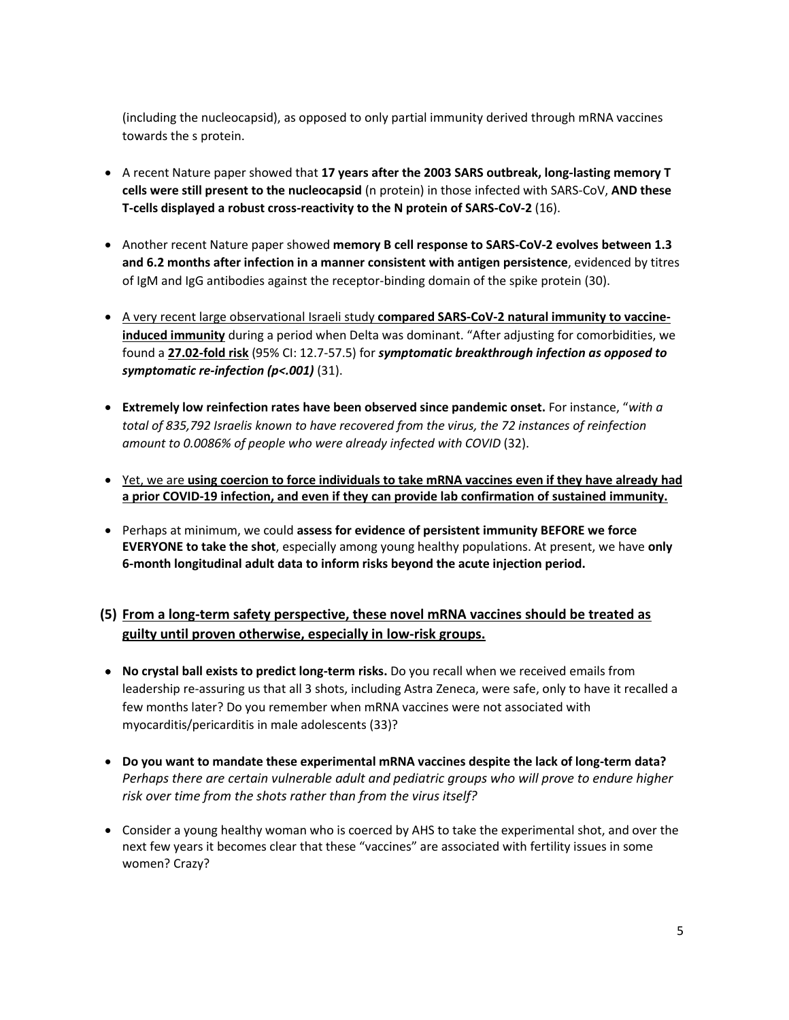(including the nucleocapsid), as opposed to only partial immunity derived through mRNA vaccines towards the s protein.

- x A recent Nature paper showed that **17 years after the 2003 SARS outbreak, long-lasting memory T cells were still present to the nucleocapsid** (n protein) in those infected with SARS-CoV, **AND these T-cells displayed a robust cross-reactivity to the N protein of SARS-CoV-2** (16).
- x Another recent Nature paper showed **memory B cell response to SARS-CoV-2 evolves between 1.3 and 6.2 months after infection in a manner consistent with antigen persistence**, evidenced by titres of IgM and IgG antibodies against the receptor-binding domain of the spike protein (30).
- **A very recent large observational Israeli study compared SARS-CoV-2 natural immunity to vaccineinduced immunity** during a period when Delta was dominant. "After adjusting for comorbidities, we found a **27.02-fold risk** (95% CI: 12.7-57.5) for *symptomatic breakthrough infection as opposed to symptomatic re-infection (p<.001)* (31).
- x **Extremely low reinfection rates have been observed since pandemic onset.** For instance, "*with a total of 835,792 Israelis known to have recovered from the virus, the 72 instances of reinfection amount to 0.0086% of people who were already infected with COVID* (32).
- x Yet, we are **using coercion to force individuals to take mRNA vaccines even if they have already had a prior COVID-19 infection, and even if they can provide lab confirmation of sustained immunity.**
- x Perhaps at minimum, we could **assess for evidence of persistent immunity BEFORE we force EVERYONE to take the shot**, especially among young healthy populations. At present, we have **only 6-month longitudinal adult data to inform risks beyond the acute injection period.**

# **(5) From a long-term safety perspective, these novel mRNA vaccines should be treated as guilty until proven otherwise, especially in low-risk groups.**

- **No crystal ball exists to predict long-term risks.** Do you recall when we received emails from leadership re-assuring us that all 3 shots, including Astra Zeneca, were safe, only to have it recalled a few months later? Do you remember when mRNA vaccines were not associated with myocarditis/pericarditis in male adolescents (33)?
- x **Do you want to mandate these experimental mRNA vaccines despite the lack of long-term data?** *Perhaps there are certain vulnerable adult and pediatric groups who will prove to endure higher risk over time from the shots rather than from the virus itself?*
- Consider a young healthy woman who is coerced by AHS to take the experimental shot, and over the next few years it becomes clear that these "vaccines" are associated with fertility issues in some women? Crazy?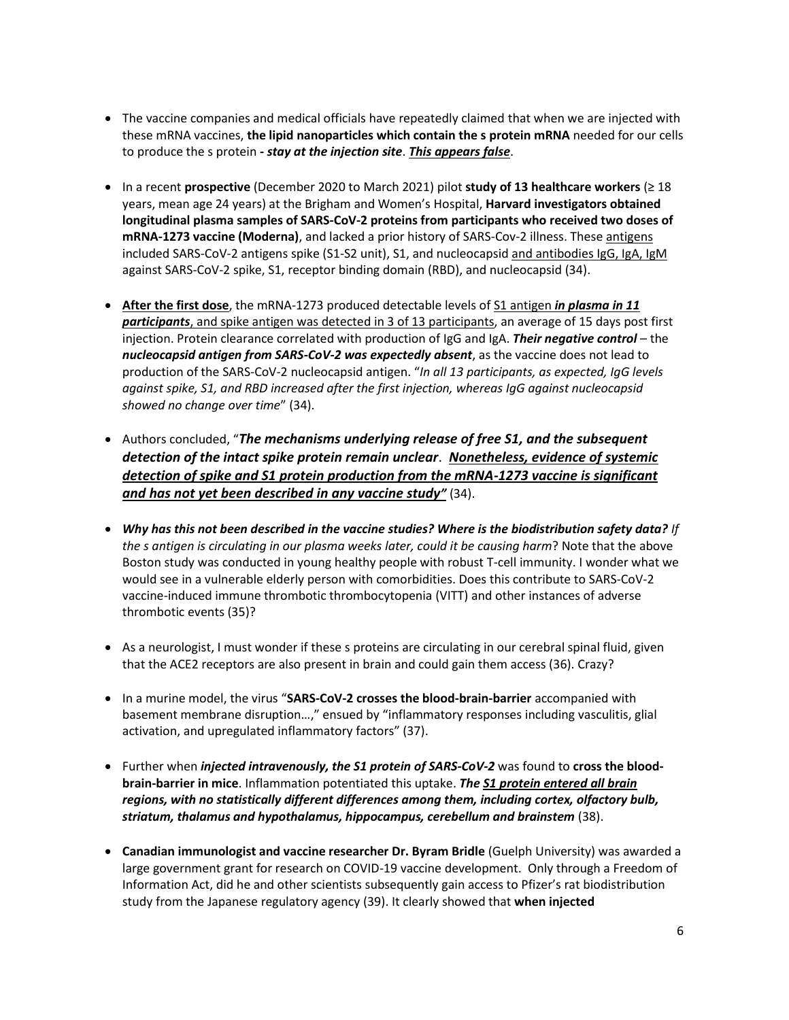- The vaccine companies and medical officials have repeatedly claimed that when we are injected with these mRNA vaccines, **the lipid nanoparticles which contain the s protein mRNA** needed for our cells to produce the s protein **-** *stay at the injection site*. *This appears false*.
- x In a recent **prospective** (December 2020 to March 2021) pilot **study of 13 healthcare workers** (≥ 18 years, mean age 24 years) at the Brigham and Women's Hospital, **Harvard investigators obtained longitudinal plasma samples of SARS-CoV-2 proteins from participants who received two doses of mRNA-1273 vaccine (Moderna)**, and lacked a prior history of SARS-Cov-2 illness. These antigens included SARS-CoV-2 antigens spike (S1-S2 unit), S1, and nucleocapsid and antibodies IgG, IgA, IgM against SARS-CoV-2 spike, S1, receptor binding domain (RBD), and nucleocapsid (34).
- After the first dose, the mRNA-1273 produced detectable levels of S1 antigen *in plasma in 11 participants*, and spike antigen was detected in 3 of 13 participants, an average of 15 days post first injection. Protein clearance correlated with production of IgG and IgA. *Their negative control* – the *nucleocapsid antigen from SARS-CoV-2 was expectedly absent*, as the vaccine does not lead to production of the SARS-CoV-2 nucleocapsid antigen. "*In all 13 participants, as expected, IgG levels against spike, S1, and RBD increased after the first injection, whereas IgG against nucleocapsid showed no change over time*" (34).
- x Authors concluded, "*The mechanisms underlying release of free S1, and the subsequent detection of the intact spike protein remain unclear*. *Nonetheless, evidence of systemic detection of spike and S1 protein production from the mRNA-1273 vaccine is significant and has not yet been described in any vaccine study"* (34).
- x *Why has this not been described in the vaccine studies? Where is the biodistribution safety data? If the s antigen is circulating in our plasma weeks later, could it be causing harm*? Note that the above Boston study was conducted in young healthy people with robust T-cell immunity. I wonder what we would see in a vulnerable elderly person with comorbidities. Does this contribute to SARS-CoV-2 vaccine-induced immune thrombotic thrombocytopenia (VITT) and other instances of adverse thrombotic events (35)?
- As a neurologist, I must wonder if these s proteins are circulating in our cerebral spinal fluid, given that the ACE2 receptors are also present in brain and could gain them access (36). Crazy?
- x In a murine model, the virus "**SARS-CoV-2 crosses the blood-brain-barrier** accompanied with basement membrane disruption…," ensued by "inflammatory responses including vasculitis, glial activation, and upregulated inflammatory factors" (37).
- **•** Further when *injected intravenously, the S1 protein of SARS-CoV-2* was found to cross the blood**brain-barrier in mice**. Inflammation potentiated this uptake. *The S1 protein entered all brain regions, with no statistically different differences among them, including cortex, olfactory bulb, striatum, thalamus and hypothalamus, hippocampus, cerebellum and brainstem* (38).
- **Canadian immunologist and vaccine researcher Dr. Byram Bridle** (Guelph University) was awarded a large government grant for research on COVID-19 vaccine development. Only through a Freedom of Information Act, did he and other scientists subsequently gain access to Pfizer's rat biodistribution study from the Japanese regulatory agency (39). It clearly showed that **when injected**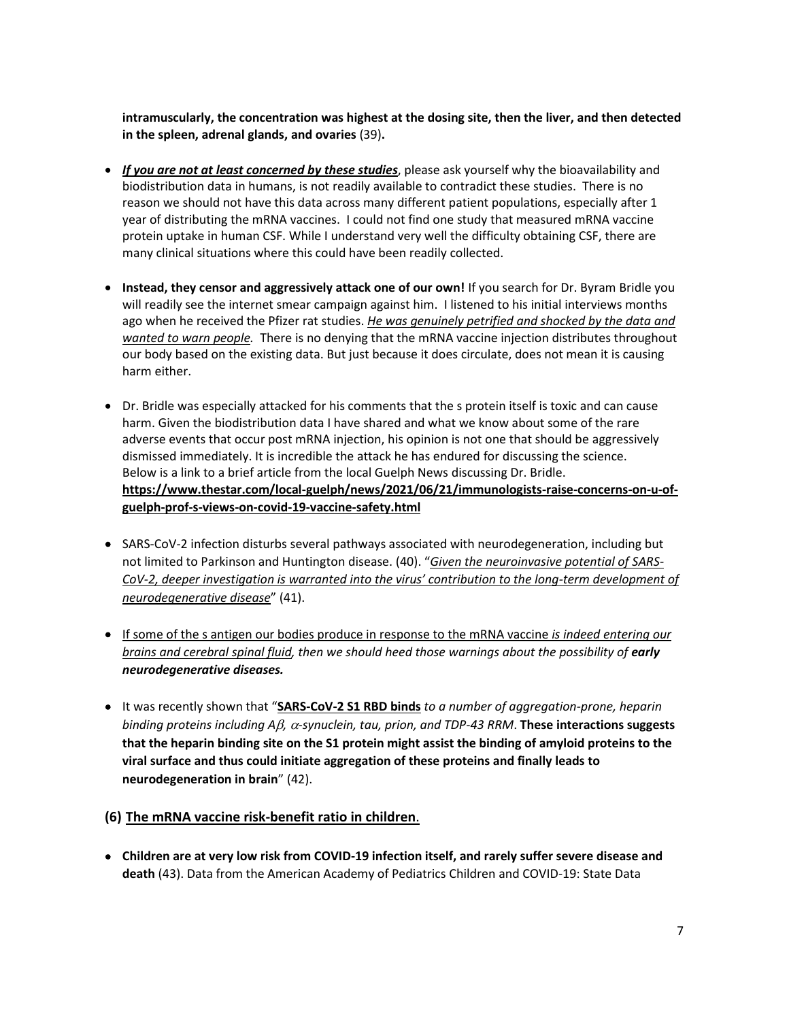**intramuscularly, the concentration was highest at the dosing site, then the liver, and then detected in the spleen, adrenal glands, and ovaries** (39)**.** 

- x *If you are not at least concerned by these studies*, please ask yourself why the bioavailability and biodistribution data in humans, is not readily available to contradict these studies. There is no reason we should not have this data across many different patient populations, especially after 1 year of distributing the mRNA vaccines. I could not find one study that measured mRNA vaccine protein uptake in human CSF. While I understand very well the difficulty obtaining CSF, there are many clinical situations where this could have been readily collected.
- **Instead, they censor and aggressively attack one of our own! If you search for Dr. Byram Bridle you** will readily see the internet smear campaign against him. I listened to his initial interviews months ago when he received the Pfizer rat studies. *He was genuinely petrified and shocked by the data and wanted to warn people.* There is no denying that the mRNA vaccine injection distributes throughout our body based on the existing data. But just because it does circulate, does not mean it is causing harm either.
- Dr. Bridle was especially attacked for his comments that the s protein itself is toxic and can cause harm. Given the biodistribution data I have shared and what we know about some of the rare adverse events that occur post mRNA injection, his opinion is not one that should be aggressively dismissed immediately. It is incredible the attack he has endured for discussing the science. Below is a link to a brief article from the local Guelph News discussing Dr. Bridle. **https://www.thestar.com/local-guelph/news/2021/06/21/immunologists-raise-concerns-on-u-ofguelph-prof-s-views-on-covid-19-vaccine-safety.html**
- SARS-CoV-2 infection disturbs several pathways associated with neurodegeneration, including but not limited to Parkinson and Huntington disease. (40). "*Given the neuroinvasive potential of SARS-CoV-2, deeper investigation is warranted into the virus' contribution to the long-term development of neurodegenerative disease*" (41).
- x If some of the s antigen our bodies produce in response to the mRNA vaccine *is indeed entering our brains and cerebral spinal fluid, then we should heed those warnings about the possibility of early neurodegenerative diseases.*
- x It was recently shown that "**SARS-CoV-2 S1 RBD binds** *to a number of aggregation-prone, heparin binding proteins including Aβ, α-synuclein, tau, prion, and TDP-43 RRM*. These interactions suggests **that the heparin binding site on the S1 protein might assist the binding of amyloid proteins to the viral surface and thus could initiate aggregation of these proteins and finally leads to neurodegeneration in brain**" (42).
- **(6) The mRNA vaccine risk-benefit ratio in children**.
- **•** Children are at very low risk from COVID-19 infection itself, and rarely suffer severe disease and **death** (43). Data from the American Academy of Pediatrics Children and COVID-19: State Data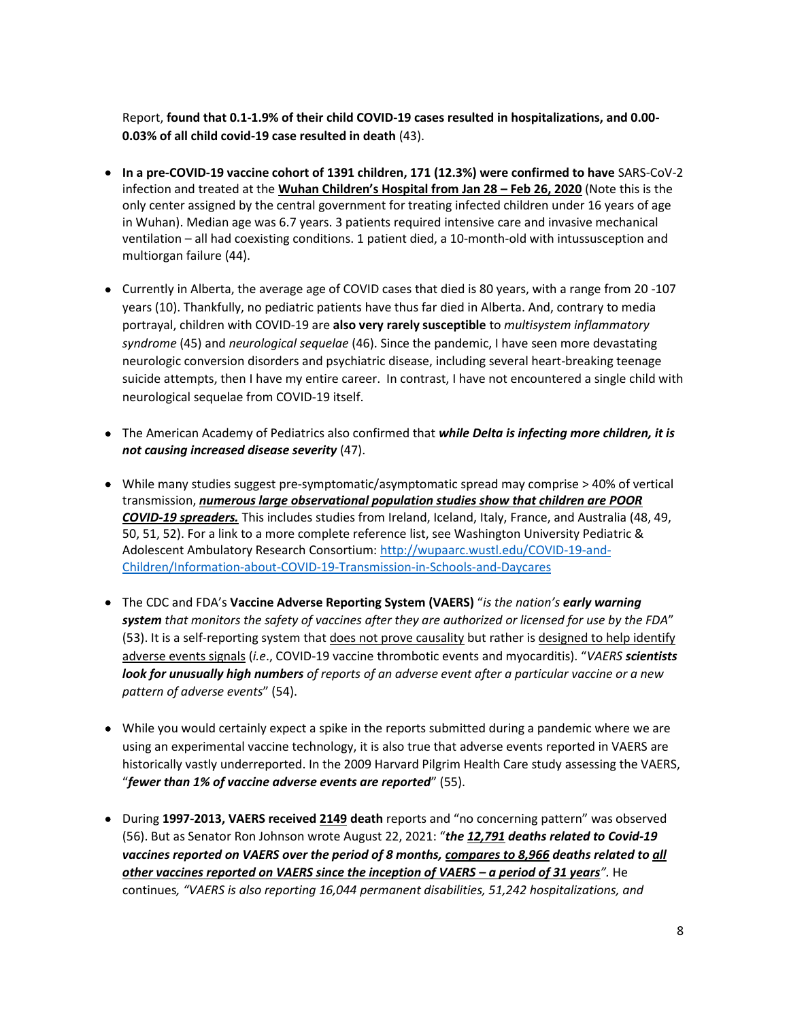Report, **found that 0.1-1.9% of their child COVID-19 cases resulted in hospitalizations, and 0.00- 0.03% of all child covid-19 case resulted in death** (43).

- x **In a pre-COVID-19 vaccine cohort of 1391 children, 171 (12.3%) were confirmed to have** SARS-CoV-2 infection and treated at the **Wuhan Children's Hospital from Jan 28 – Feb 26, 2020** (Note this is the only center assigned by the central government for treating infected children under 16 years of age in Wuhan). Median age was 6.7 years. 3 patients required intensive care and invasive mechanical ventilation – all had coexisting conditions. 1 patient died, a 10-month-old with intussusception and multiorgan failure (44).
- Currently in Alberta, the average age of COVID cases that died is 80 years, with a range from 20 -107 years (10). Thankfully, no pediatric patients have thus far died in Alberta. And, contrary to media portrayal, children with COVID-19 are **also very rarely susceptible** to *multisystem inflammatory syndrome* (45) and *neurological sequelae* (46). Since the pandemic, I have seen more devastating neurologic conversion disorders and psychiatric disease, including several heart-breaking teenage suicide attempts, then I have my entire career. In contrast, I have not encountered a single child with neurological sequelae from COVID-19 itself.
- The American Academy of Pediatrics also confirmed that *while Delta is infecting more children, it is not causing increased disease severity* (47).
- While many studies suggest pre-symptomatic/asymptomatic spread may comprise  $>$  40% of vertical transmission, *numerous large observational population studies show that children are POOR COVID-19 spreaders.* This includes studies from Ireland, Iceland, Italy, France, and Australia (48, 49, 50, 51, 52). For a link to a more complete reference list, see Washington University Pediatric & Adolescent Ambulatory Research Consortium: http://wupaarc.wustl.edu/COVID-19-and-Children/Information-about-COVID-19-Transmission-in-Schools-and-Daycares
- x The CDC and FDA's **Vaccine Adverse Reporting System (VAERS)** "*is the nation's early warning system that monitors the safety of vaccines after they are authorized or licensed for use by the FDA*" (53). It is a self-reporting system that does not prove causality but rather is designed to help identify adverse events signals (*i.e*., COVID-19 vaccine thrombotic events and myocarditis). "*VAERS scientists look for unusually high numbers of reports of an adverse event after a particular vaccine or a new pattern of adverse events*" (54).
- While you would certainly expect a spike in the reports submitted during a pandemic where we are using an experimental vaccine technology, it is also true that adverse events reported in VAERS are historically vastly underreported. In the 2009 Harvard Pilgrim Health Care study assessing the VAERS, "*fewer than 1% of vaccine adverse events are reported*" (55).
- **During 1997-2013, VAERS received 2149 death** reports and "no concerning pattern" was observed (56). But as Senator Ron Johnson wrote August 22, 2021: "*the 12,791 deaths related to Covid-19 vaccines reported on VAERS over the period of 8 months, compares to 8,966 deaths related to all other vaccines reported on VAERS since the inception of VAERS – a period of 31 years".* He continues*, "VAERS is also reporting 16,044 permanent disabilities, 51,242 hospitalizations, and*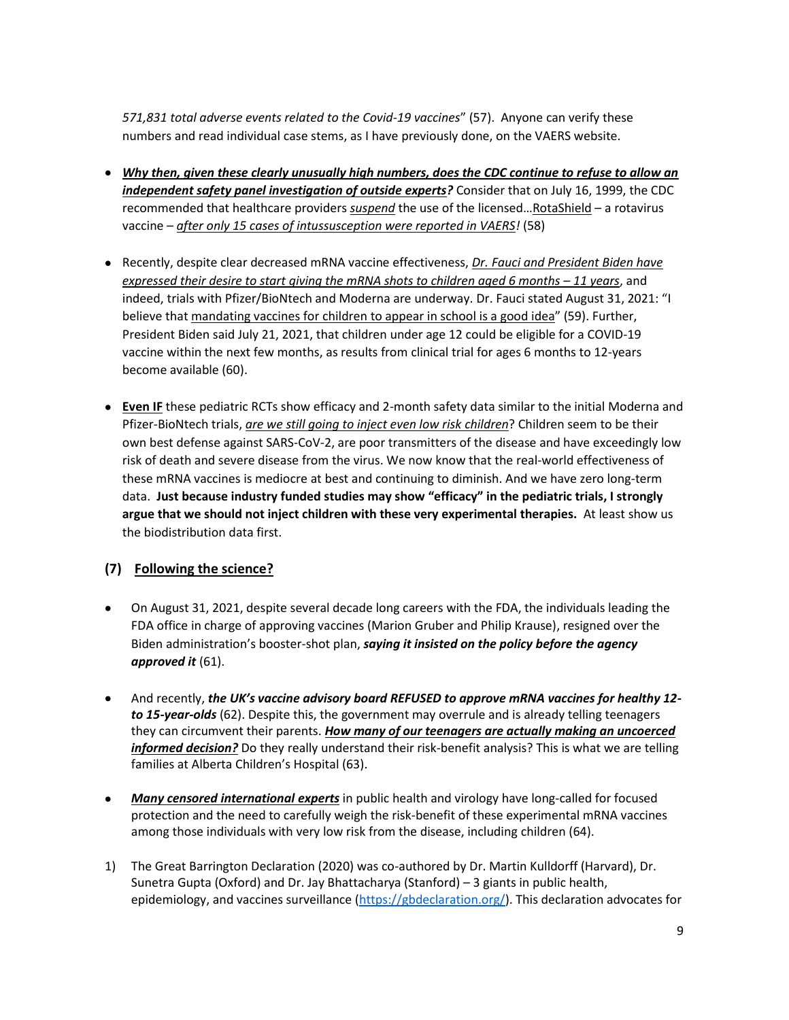*571,831 total adverse events related to the Covid-19 vaccines*" (57). Anyone can verify these numbers and read individual case stems, as I have previously done, on the VAERS website.

- x *Why then, given these clearly unusually high numbers, does the CDC continue to refuse to allow an independent safety panel investigation of outside experts?* Consider that on July 16, 1999, the CDC recommended that healthcare providers *suspend* the use of the licensed…RotaShield – a rotavirus vaccine – *after only 15 cases of intussusception were reported in VAERS!* (58)
- **Recently, despite clear decreased mRNA vaccine effectiveness,** *Dr. Fauci and President Biden have expressed their desire to start giving the mRNA shots to children aged 6 months – 11 years, and* indeed, trials with Pfizer/BioNtech and Moderna are underway. Dr. Fauci stated August 31, 2021: "I believe that mandating vaccines for children to appear in school is a good idea" (59). Further, President Biden said July 21, 2021, that children under age 12 could be eligible for a COVID-19 vaccine within the next few months, as results from clinical trial for ages 6 months to 12-years become available (60).
- **Even IF** these pediatric RCTs show efficacy and 2-month safety data similar to the initial Moderna and Pfizer-BioNtech trials, *are we still going to inject even low risk children*? Children seem to be their own best defense against SARS-CoV-2, are poor transmitters of the disease and have exceedingly low risk of death and severe disease from the virus. We now know that the real-world effectiveness of these mRNA vaccines is mediocre at best and continuing to diminish. And we have zero long-term data. **Just because industry funded studies may show "efficacy" in the pediatric trials, I strongly argue that we should not inject children with these very experimental therapies.** At least show us the biodistribution data first.

### **(7) Following the science?**

- On August 31, 2021, despite several decade long careers with the FDA, the individuals leading the FDA office in charge of approving vaccines (Marion Gruber and Philip Krause), resigned over the Biden administration's booster-shot plan, *saying it insisted on the policy before the agency approved it* (61).
- x And recently, *the UK's vaccine advisory board REFUSED to approve mRNA vaccines for healthy 12 to 15-year-olds* (62). Despite this, the government may overrule and is already telling teenagers they can circumvent their parents. *How many of our teenagers are actually making an uncoerced informed decision?* Do they really understand their risk-benefit analysis? This is what we are telling families at Alberta Children's Hospital (63).
- x *Many censored international experts* in public health and virology have long-called for focused protection and the need to carefully weigh the risk-benefit of these experimental mRNA vaccines among those individuals with very low risk from the disease, including children (64).
- 1) The Great Barrington Declaration (2020) was co-authored by Dr. Martin Kulldorff (Harvard), Dr. Sunetra Gupta (Oxford) and Dr. Jay Bhattacharya (Stanford) – 3 giants in public health, epidemiology, and vaccines surveillance (https://gbdeclaration.org/). This declaration advocates for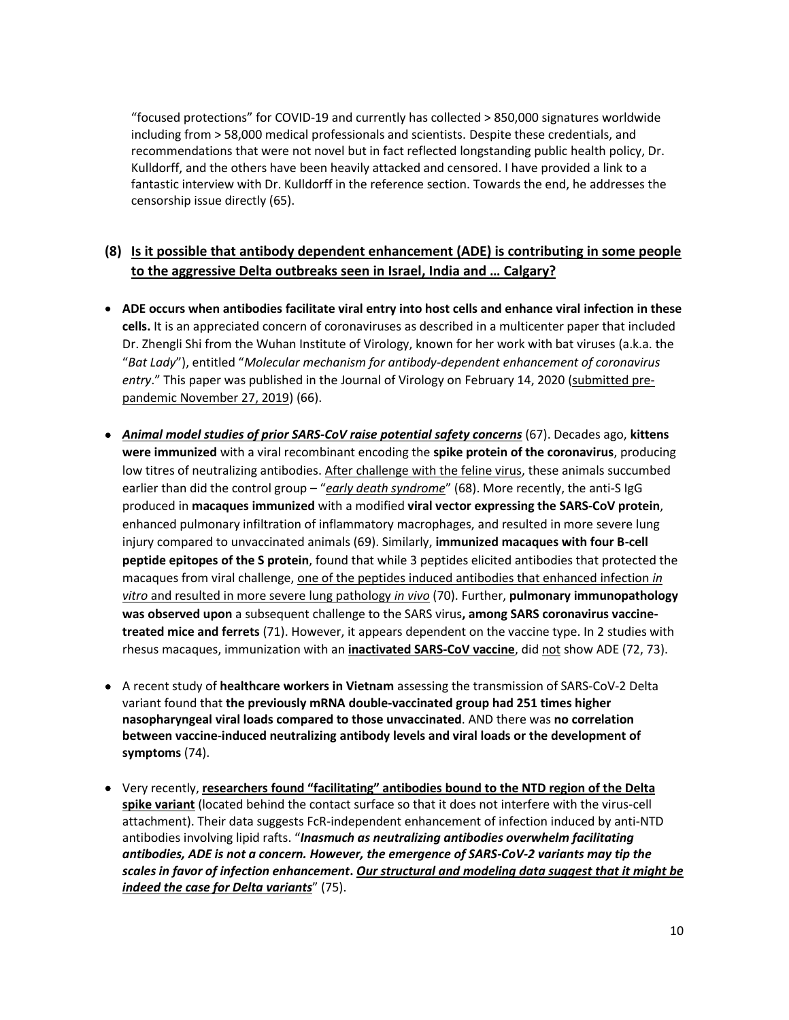"focused protections" for COVID-19 and currently has collected > 850,000 signatures worldwide including from > 58,000 medical professionals and scientists. Despite these credentials, and recommendations that were not novel but in fact reflected longstanding public health policy, Dr. Kulldorff, and the others have been heavily attacked and censored. I have provided a link to a fantastic interview with Dr. Kulldorff in the reference section. Towards the end, he addresses the censorship issue directly (65).

# **(8) Is it possible that antibody dependent enhancement (ADE) is contributing in some people to the aggressive Delta outbreaks seen in Israel, India and … Calgary?**

- x **ADE occurs when antibodies facilitate viral entry into host cells and enhance viral infection in these cells.** It is an appreciated concern of coronaviruses as described in a multicenter paper that included Dr. Zhengli Shi from the Wuhan Institute of Virology, known for her work with bat viruses (a.k.a. the "*Bat Lady*"), entitled "*Molecular mechanism for antibody-dependent enhancement of coronavirus*  entry." This paper was published in the Journal of Virology on February 14, 2020 (submitted prepandemic November 27, 2019) (66).
- x *Animal model studies of prior SARS-CoV raise potential safety concerns* (67). Decades ago, **kittens were immunized** with a viral recombinant encoding the **spike protein of the coronavirus**, producing low titres of neutralizing antibodies. After challenge with the feline virus, these animals succumbed earlier than did the control group – "*early death syndrome*" (68). More recently, the anti-S IgG produced in **macaques immunized** with a modified **viral vector expressing the SARS-CoV protein**, enhanced pulmonary infiltration of inflammatory macrophages, and resulted in more severe lung injury compared to unvaccinated animals (69). Similarly, **immunized macaques with four B-cell peptide epitopes of the S protein**, found that while 3 peptides elicited antibodies that protected the macaques from viral challenge, one of the peptides induced antibodies that enhanced infection *in vitro* and resulted in more severe lung pathology *in vivo* (70). Further, **pulmonary immunopathology was observed upon** a subsequent challenge to the SARS virus**, among SARS coronavirus vaccinetreated mice and ferrets** (71). However, it appears dependent on the vaccine type. In 2 studies with rhesus macaques, immunization with an **inactivated SARS-CoV vaccine**, did not show ADE (72, 73).
- x A recent study of **healthcare workers in Vietnam** assessing the transmission of SARS-CoV-2 Delta variant found that **the previously mRNA double-vaccinated group had 251 times higher nasopharyngeal viral loads compared to those unvaccinated**. AND there was **no correlation between vaccine-induced neutralizing antibody levels and viral loads or the development of symptoms** (74).
- x Very recently, **researchers found "facilitating" antibodies bound to the NTD region of the Delta spike variant** (located behind the contact surface so that it does not interfere with the virus-cell attachment). Their data suggests FcR-independent enhancement of infection induced by anti-NTD antibodies involving lipid rafts. "*Inasmuch as neutralizing antibodies overwhelm facilitating antibodies, ADE is not a concern. However, the emergence of SARS-CoV-2 variants may tip the scales in favor of infection enhancement***.** *Our structural and modeling data suggest that it might be indeed the case for Delta variants*" (75).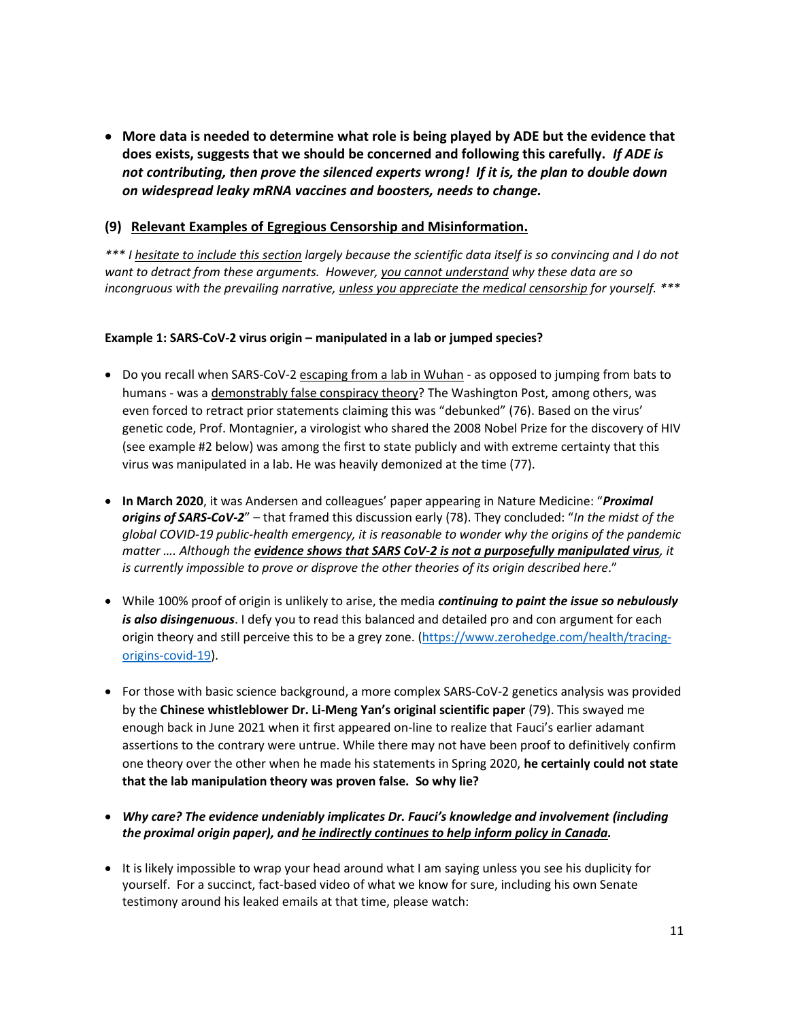x **More data is needed to determine what role is being played by ADE but the evidence that does exists, suggests that we should be concerned and following this carefully.** *If ADE is not contributing, then prove the silenced experts wrong! If it is, the plan to double down on widespread leaky mRNA vaccines and boosters, needs to change.*

### **(9) Relevant Examples of Egregious Censorship and Misinformation.**

*\*\*\* I hesitate to include this section largely because the scientific data itself is so convincing and I do not want to detract from these arguments. However, you cannot understand why these data are so incongruous with the prevailing narrative, unless you appreciate the medical censorship for yourself. \*\*\**

#### **Example 1: SARS-CoV-2 virus origin – manipulated in a lab or jumped species?**

- Do you recall when SARS-CoV-2 escaping from a lab in Wuhan as opposed to jumping from bats to humans - was a demonstrably false conspiracy theory? The Washington Post, among others, was even forced to retract prior statements claiming this was "debunked" (76). Based on the virus' genetic code, Prof. Montagnier, a virologist who shared the 2008 Nobel Prize for the discovery of HIV (see example #2 below) was among the first to state publicly and with extreme certainty that this virus was manipulated in a lab. He was heavily demonized at the time (77).
- **In March 2020**, it was Andersen and colleagues' paper appearing in Nature Medicine: "*Proximal origins of SARS-CoV-2*" – that framed this discussion early (78). They concluded: "*In the midst of the global COVID-19 public-health emergency, it is reasonable to wonder why the origins of the pandemic matter …. Although the evidence shows that SARS CoV-2 is not a purposefully manipulated virus, it is currently impossible to prove or disprove the other theories of its origin described here*."
- x While 100% proof of origin is unlikely to arise, the media *continuing to paint the issue so nebulously is also disingenuous*. I defy you to read this balanced and detailed pro and con argument for each origin theory and still perceive this to be a grey zone. (https://www.zerohedge.com/health/tracingorigins-covid-19).
- For those with basic science background, a more complex SARS-CoV-2 genetics analysis was provided by the **Chinese whistleblower Dr. Li-Meng Yan's original scientific paper** (79). This swayed me enough back in June 2021 when it first appeared on-line to realize that Fauci's earlier adamant assertions to the contrary were untrue. While there may not have been proof to definitively confirm one theory over the other when he made his statements in Spring 2020, **he certainly could not state that the lab manipulation theory was proven false. So why lie?**
- x *Why care? The evidence undeniably implicates Dr. Fauci's knowledge and involvement (including the proximal origin paper), and he indirectly continues to help inform policy in Canada.*
- It is likely impossible to wrap your head around what I am saying unless you see his duplicity for yourself. For a succinct, fact-based video of what we know for sure, including his own Senate testimony around his leaked emails at that time, please watch: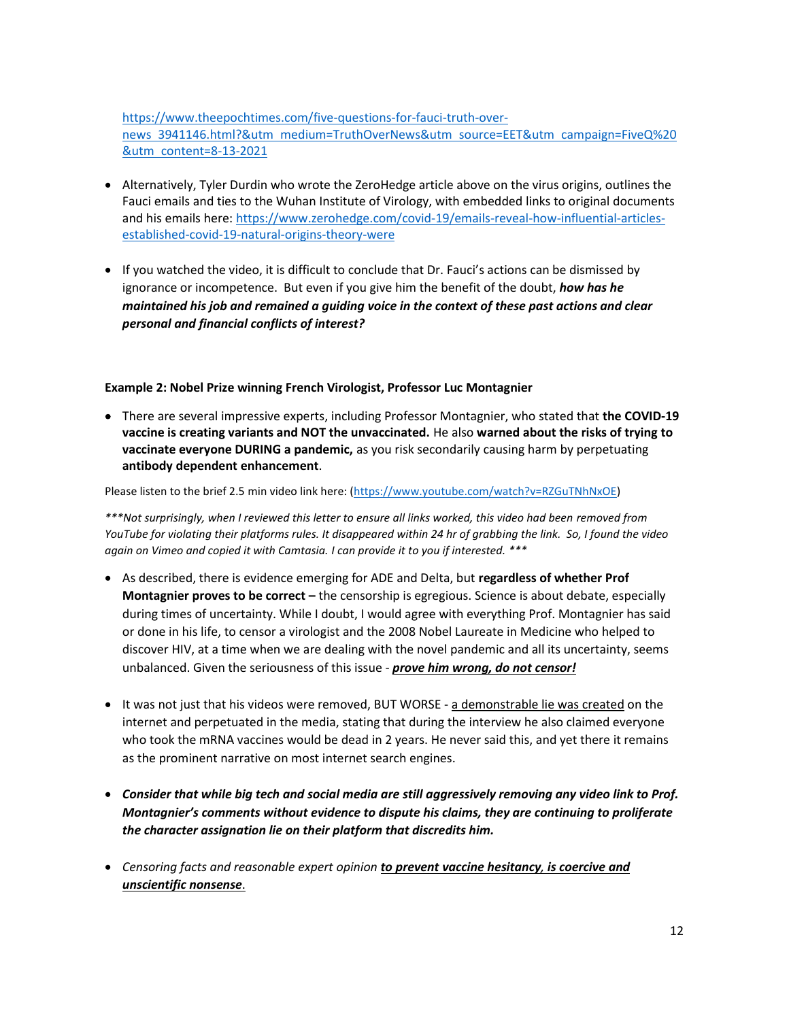https://www.theepochtimes.com/five-questions-for-fauci-truth-overnews 3941146.html?&utm medium=TruthOverNews&utm source=EET&utm campaign=FiveQ%20 &utm content=8-13-2021

- Alternatively, Tyler Durdin who wrote the ZeroHedge article above on the virus origins, outlines the Fauci emails and ties to the Wuhan Institute of Virology, with embedded links to original documents and his emails here: https://www.zerohedge.com/covid-19/emails-reveal-how-influential-articlesestablished-covid-19-natural-origins-theory-were
- If you watched the video, it is difficult to conclude that Dr. Fauci's actions can be dismissed by ignorance or incompetence. But even if you give him the benefit of the doubt, *how has he maintained his job and remained a guiding voice in the context of these past actions and clear personal and financial conflicts of interest?*

#### **Example 2: Nobel Prize winning French Virologist, Professor Luc Montagnier**

**•** There are several impressive experts, including Professor Montagnier, who stated that the COVID-19 **vaccine is creating variants and NOT the unvaccinated.** He also **warned about the risks of trying to vaccinate everyone DURING a pandemic,** as you risk secondarily causing harm by perpetuating **antibody dependent enhancement**.

Please listen to the brief 2.5 min video link here: (https://www.youtube.com/watch?v=RZGuTNhNxOE)

*\*\*\*Not surprisingly, when I reviewed this letter to ensure all links worked, this video had been removed from YouTube for violating their platforms rules. It disappeared within 24 hr of grabbing the link. So, I found the video again on Vimeo and copied it with Camtasia. I can provide it to you if interested. \*\*\**

- x As described, there is evidence emerging for ADE and Delta, but **regardless of whether Prof Montagnier proves to be correct –** the censorship is egregious. Science is about debate, especially during times of uncertainty. While I doubt, I would agree with everything Prof. Montagnier has said or done in his life, to censor a virologist and the 2008 Nobel Laureate in Medicine who helped to discover HIV, at a time when we are dealing with the novel pandemic and all its uncertainty, seems unbalanced. Given the seriousness of this issue - *prove him wrong, do not censor!*
- It was not just that his videos were removed, BUT WORSE a demonstrable lie was created on the internet and perpetuated in the media, stating that during the interview he also claimed everyone who took the mRNA vaccines would be dead in 2 years. He never said this, and yet there it remains as the prominent narrative on most internet search engines.
- x *Consider that while big tech and social media are still aggressively removing any video link to Prof. Montagnier's comments without evidence to dispute his claims, they are continuing to proliferate the character assignation lie on their platform that discredits him.*
- x *Censoring facts and reasonable expert opinion to prevent vaccine hesitancy, is coercive and unscientific nonsense*.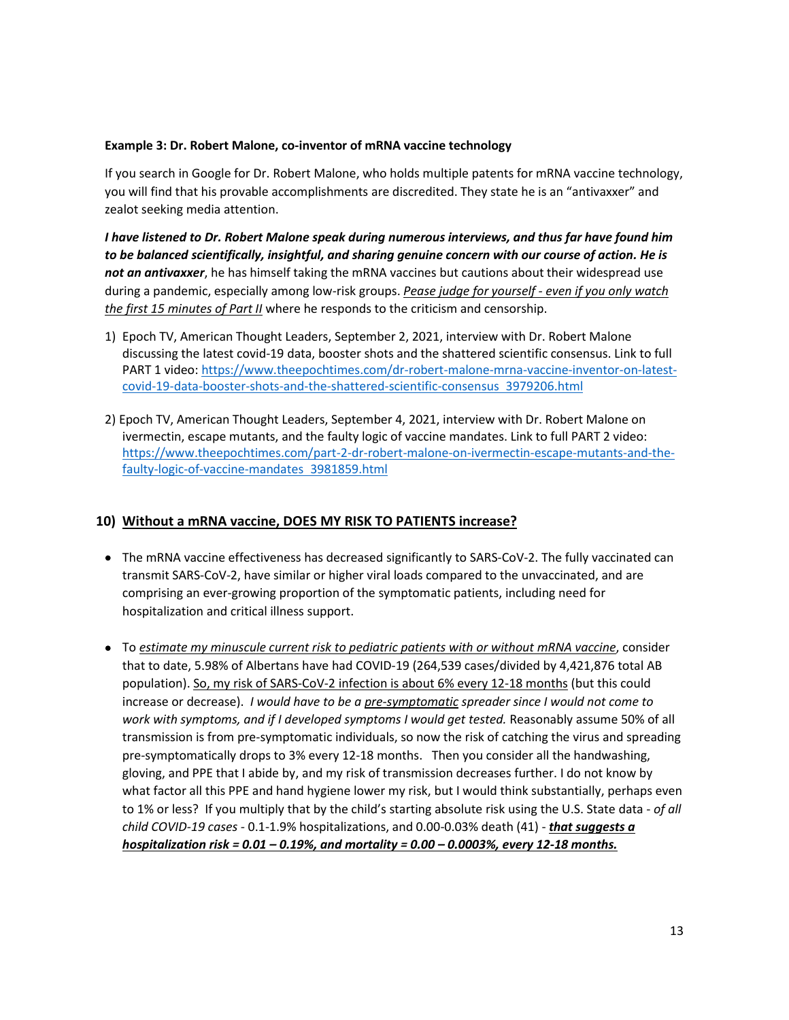#### **Example 3: Dr. Robert Malone, co-inventor of mRNA vaccine technology**

If you search in Google for Dr. Robert Malone, who holds multiple patents for mRNA vaccine technology, you will find that his provable accomplishments are discredited. They state he is an "antivaxxer" and zealot seeking media attention.

*I have listened to Dr. Robert Malone speak during numerous interviews, and thus far have found him to be balanced scientifically, insightful, and sharing genuine concern with our course of action. He is not an antivaxxer*, he has himself taking the mRNA vaccines but cautions about their widespread use during a pandemic, especially among low-risk groups. *Pease judge for yourself - even if you only watch the first 15 minutes of Part II* where he responds to the criticism and censorship.

- 1) Epoch TV, American Thought Leaders, September 2, 2021, interview with Dr. Robert Malone discussing the latest covid-19 data, booster shots and the shattered scientific consensus. Link to full PART 1 video: https://www.theepochtimes.com/dr-robert-malone-mrna-vaccine-inventor-on-latestcovid-19-data-booster-shots-and-the-shattered-scientific-consensus 3979206.html
- 2) Epoch TV, American Thought Leaders, September 4, 2021, interview with Dr. Robert Malone on ivermectin, escape mutants, and the faulty logic of vaccine mandates. Link to full PART 2 video: https://www.theepochtimes.com/part-2-dr-robert-malone-on-ivermectin-escape-mutants-and-thefaulty-logic-of-vaccine-mandates 3981859.html

#### **10) Without a mRNA vaccine, DOES MY RISK TO PATIENTS increase?**

- The mRNA vaccine effectiveness has decreased significantly to SARS-CoV-2. The fully vaccinated can transmit SARS-CoV-2, have similar or higher viral loads compared to the unvaccinated, and are comprising an ever-growing proportion of the symptomatic patients, including need for hospitalization and critical illness support.
- x To *estimate my minuscule current risk to pediatric patients with or without mRNA vaccine*, consider that to date, 5.98% of Albertans have had COVID-19 (264,539 cases/divided by 4,421,876 total AB population). So, my risk of SARS-CoV-2 infection is about 6% every 12-18 months (but this could increase or decrease). *I would have to be a pre-symptomatic spreader since I would not come to work with symptoms, and if I developed symptoms I would get tested.* Reasonably assume 50% of all transmission is from pre-symptomatic individuals, so now the risk of catching the virus and spreading pre-symptomatically drops to 3% every 12-18 months. Then you consider all the handwashing, gloving, and PPE that I abide by, and my risk of transmission decreases further. I do not know by what factor all this PPE and hand hygiene lower my risk, but I would think substantially, perhaps even to 1% or less? If you multiply that by the child's starting absolute risk using the U.S. State data - *of all child COVID-19 cases -* 0.1-1.9% hospitalizations, and 0.00-0.03% death (41) - *that suggests a hospitalization risk = 0.01 – 0.19%, and mortality = 0.00 – 0.0003%, every 12-18 months.*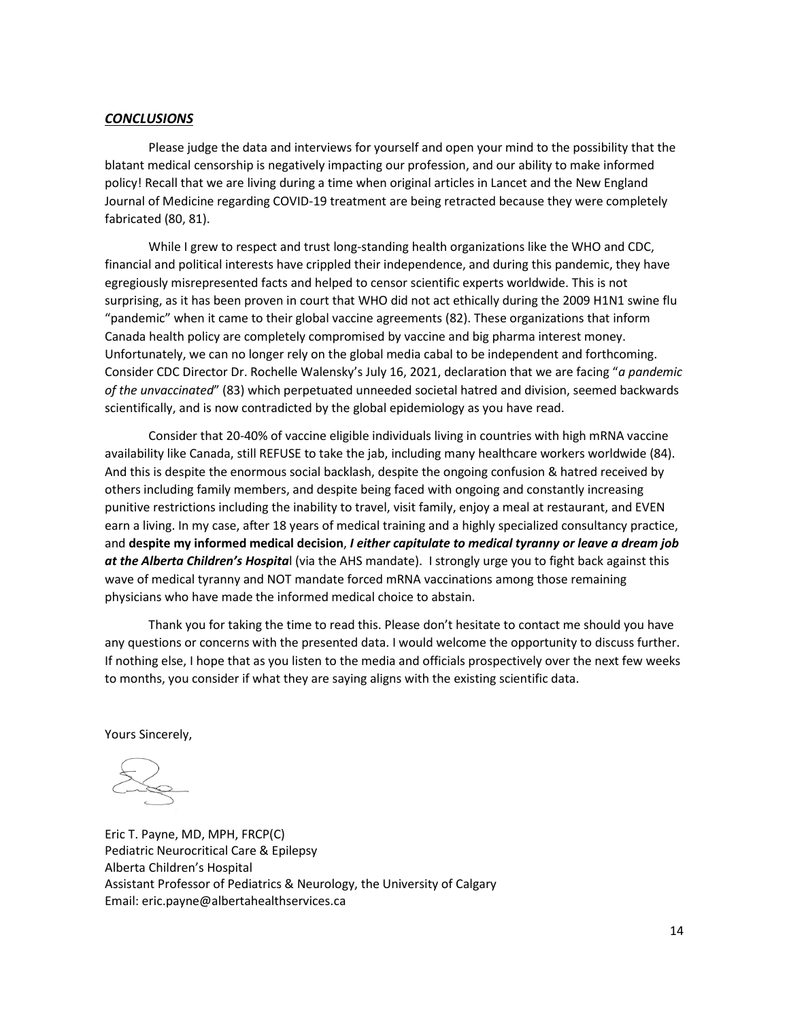#### *CONCLUSIONS*

Please judge the data and interviews for yourself and open your mind to the possibility that the blatant medical censorship is negatively impacting our profession, and our ability to make informed policy! Recall that we are living during a time when original articles in Lancet and the New England Journal of Medicine regarding COVID-19 treatment are being retracted because they were completely fabricated (80, 81).

While I grew to respect and trust long-standing health organizations like the WHO and CDC, financial and political interests have crippled their independence, and during this pandemic, they have egregiously misrepresented facts and helped to censor scientific experts worldwide. This is not surprising, as it has been proven in court that WHO did not act ethically during the 2009 H1N1 swine flu "pandemic" when it came to their global vaccine agreements (82). These organizations that inform Canada health policy are completely compromised by vaccine and big pharma interest money. Unfortunately, we can no longer rely on the global media cabal to be independent and forthcoming. Consider CDC Director Dr. Rochelle Walensky's July 16, 2021, declaration that we are facing "*a pandemic of the unvaccinated*" (83) which perpetuated unneeded societal hatred and division, seemed backwards scientifically, and is now contradicted by the global epidemiology as you have read.

Consider that 20-40% of vaccine eligible individuals living in countries with high mRNA vaccine availability like Canada, still REFUSE to take the jab, including many healthcare workers worldwide (84). And this is despite the enormous social backlash, despite the ongoing confusion & hatred received by others including family members, and despite being faced with ongoing and constantly increasing punitive restrictions including the inability to travel, visit family, enjoy a meal at restaurant, and EVEN earn a living. In my case, after 18 years of medical training and a highly specialized consultancy practice, and **despite my informed medical decision**, *I either capitulate to medical tyranny or leave a dream job at the Alberta Children's Hospita*l (via the AHS mandate). I strongly urge you to fight back against this wave of medical tyranny and NOT mandate forced mRNA vaccinations among those remaining physicians who have made the informed medical choice to abstain.

Thank you for taking the time to read this. Please don't hesitate to contact me should you have any questions or concerns with the presented data. I would welcome the opportunity to discuss further. If nothing else, I hope that as you listen to the media and officials prospectively over the next few weeks to months, you consider if what they are saying aligns with the existing scientific data.

Yours Sincerely,

Eric T. Payne, MD, MPH, FRCP(C) Pediatric Neurocritical Care & Epilepsy Alberta Children's Hospital Assistant Professor of Pediatrics & Neurology, the University of Calgary Email: eric.payne@albertahealthservices.ca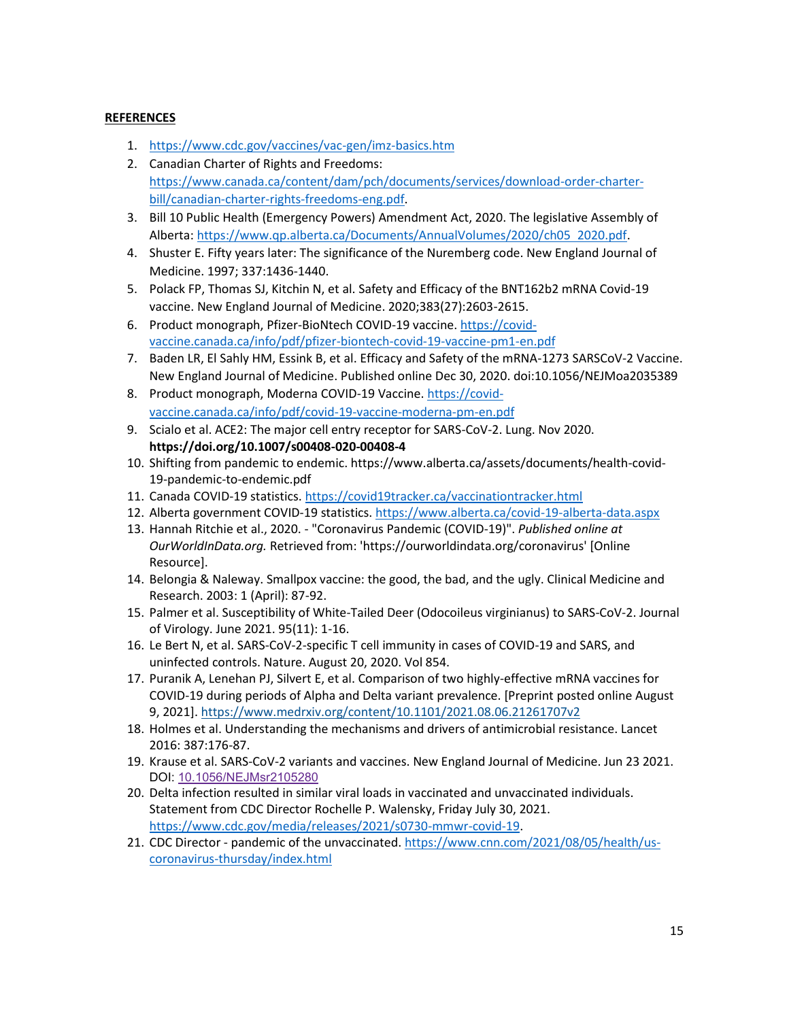### **REFERENCES**

- 1. https://www.cdc.gov/vaccines/vac-gen/imz-basics.htm
- 2. Canadian Charter of Rights and Freedoms: https://www.canada.ca/content/dam/pch/documents/services/download-order-charterbill/canadian-charter-rights-freedoms-eng.pdf.
- 3. Bill 10 Public Health (Emergency Powers) Amendment Act, 2020. The legislative Assembly of Alberta: https://www.qp.alberta.ca/Documents/AnnualVolumes/2020/ch05 2020.pdf.
- 4. Shuster E. Fifty years later: The significance of the Nuremberg code. New England Journal of Medicine. 1997; 337:1436-1440.
- 5. Polack FP, Thomas SJ, Kitchin N, et al. Safety and Efficacy of the BNT162b2 mRNA Covid-19 vaccine. New England Journal of Medicine. 2020;383(27):2603-2615.
- 6. Product monograph, Pfizer-BioNtech COVID-19 vaccine. https://covidvaccine.canada.ca/info/pdf/pfizer-biontech-covid-19-vaccine-pm1-en.pdf
- 7. Baden LR, El Sahly HM, Essink B, et al. Efficacy and Safety of the mRNA-1273 SARSCoV-2 Vaccine. New England Journal of Medicine. Published online Dec 30, 2020. doi:10.1056/NEJMoa2035389
- 8. Product monograph, Moderna COVID-19 Vaccine. https://covidvaccine.canada.ca/info/pdf/covid-19-vaccine-moderna-pm-en.pdf
- 9. Scialo et al. ACE2: The major cell entry receptor for SARS-CoV-2. Lung. Nov 2020. **https://doi.org/10.1007/s00408-020-00408-4**
- 10. Shifting from pandemic to endemic. https://www.alberta.ca/assets/documents/health-covid-19-pandemic-to-endemic.pdf
- 11. Canada COVID-19 statistics. https://covid19tracker.ca/vaccinationtracker.html
- 12. Alberta government COVID-19 statistics. https://www.alberta.ca/covid-19-alberta-data.aspx
- 13. Hannah Ritchie et al., 2020. "Coronavirus Pandemic (COVID-19)". *Published online at OurWorldInData.org.* Retrieved from: 'https://ourworldindata.org/coronavirus' [Online Resource].
- 14. Belongia & Naleway. Smallpox vaccine: the good, the bad, and the ugly. Clinical Medicine and Research. 2003: 1 (April): 87-92.
- 15. Palmer et al. Susceptibility of White-Tailed Deer (Odocoileus virginianus) to SARS-CoV-2. Journal of Virology. June 2021. 95(11): 1-16.
- 16. Le Bert N, et al. SARS-CoV-2-specific T cell immunity in cases of COVID-19 and SARS, and uninfected controls. Nature. August 20, 2020. Vol 854.
- 17. Puranik A, Lenehan PJ, Silvert E, et al. Comparison of two highly-effective mRNA vaccines for COVID-19 during periods of Alpha and Delta variant prevalence. [Preprint posted online August 9, 2021]. https://www.medrxiv.org/content/10.1101/2021.08.06.21261707v2
- 18. Holmes et al. Understanding the mechanisms and drivers of antimicrobial resistance. Lancet 2016: 387:176-87.
- 19. Krause et al. SARS-CoV-2 variants and vaccines. New England Journal of Medicine. Jun 23 2021. DOI: 10.1056/NEJMsr2105280
- 20. Delta infection resulted in similar viral loads in vaccinated and unvaccinated individuals. Statement from CDC Director Rochelle P. Walensky, Friday July 30, 2021. https://www.cdc.gov/media/releases/2021/s0730-mmwr-covid-19.
- 21. CDC Director pandemic of the unvaccinated. https://www.cnn.com/2021/08/05/health/uscoronavirus-thursday/index.html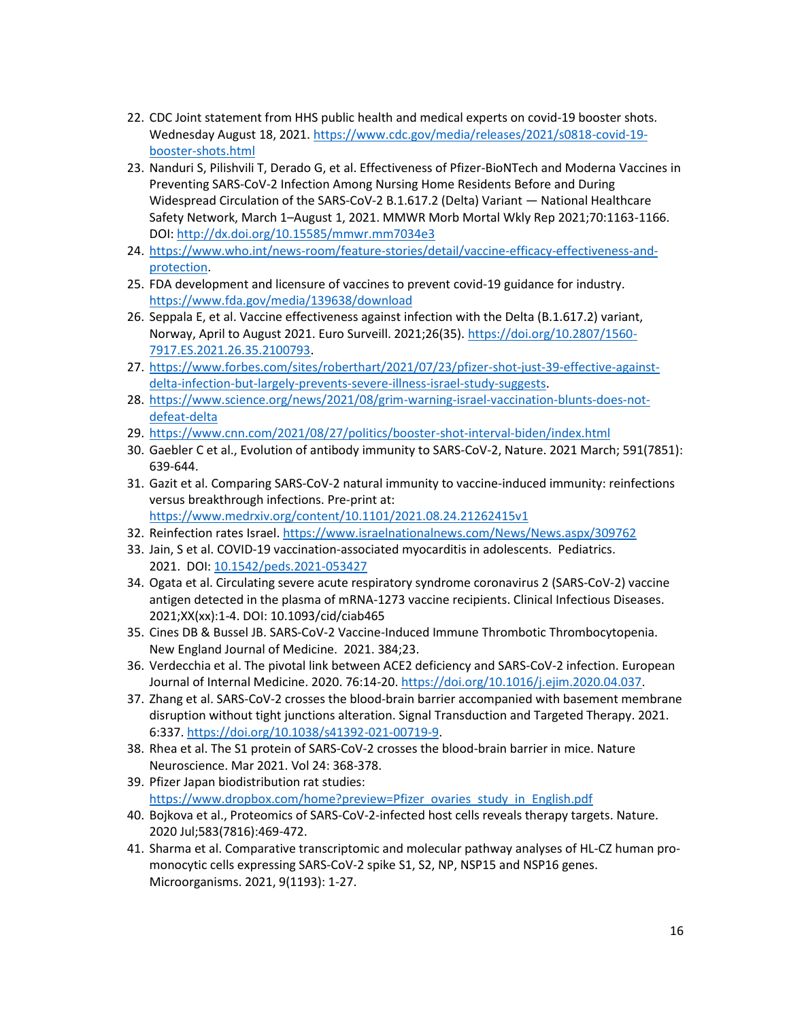- 22. CDC Joint statement from HHS public health and medical experts on covid-19 booster shots. Wednesday August 18, 2021. https://www.cdc.gov/media/releases/2021/s0818-covid-19 booster-shots.html
- 23. Nanduri S, Pilishvili T, Derado G, et al. Effectiveness of Pfizer-BioNTech and Moderna Vaccines in Preventing SARS-CoV-2 Infection Among Nursing Home Residents Before and During Widespread Circulation of the SARS-CoV-2 B.1.617.2 (Delta) Variant — National Healthcare Safety Network, March 1–August 1, 2021. MMWR Morb Mortal Wkly Rep 2021;70:1163-1166. DOI: http://dx.doi.org/10.15585/mmwr.mm7034e3
- 24. https://www.who.int/news-room/feature-stories/detail/vaccine-efficacy-effectiveness-andprotection.
- 25. FDA development and licensure of vaccines to prevent covid-19 guidance for industry. https://www.fda.gov/media/139638/download
- 26. Seppala E, et al. Vaccine effectiveness against infection with the Delta (B.1.617.2) variant, Norway, April to August 2021. Euro Surveill. 2021;26(35). https://doi.org/10.2807/1560- 7917.ES.2021.26.35.2100793.
- 27. https://www.forbes.com/sites/roberthart/2021/07/23/pfizer-shot-just-39-effective-againstdelta-infection-but-largely-prevents-severe-illness-israel-study-suggests.
- 28. https://www.science.org/news/2021/08/grim-warning-israel-vaccination-blunts-does-notdefeat-delta
- 29. https://www.cnn.com/2021/08/27/politics/booster-shot-interval-biden/index.html
- 30. Gaebler C et al., Evolution of antibody immunity to SARS-CoV-2, Nature. 2021 March; 591(7851): 639-644.
- 31. Gazit et al. Comparing SARS-CoV-2 natural immunity to vaccine-induced immunity: reinfections versus breakthrough infections. Pre-print at: https://www.medrxiv.org/content/10.1101/2021.08.24.21262415v1
- 32. Reinfection rates Israel. https://www.israelnationalnews.com/News/News.aspx/309762
- 33. Jain, S et al. COVID-19 vaccination-associated myocarditis in adolescents. Pediatrics. 2021. DOI: 10.1542/peds.2021-053427
- 34. Ogata et al. Circulating severe acute respiratory syndrome coronavirus 2 (SARS-CoV-2) vaccine antigen detected in the plasma of mRNA-1273 vaccine recipients. Clinical Infectious Diseases. 2021;XX(xx):1-4. DOI: 10.1093/cid/ciab465
- 35. Cines DB & Bussel JB. SARS-CoV-2 Vaccine-Induced Immune Thrombotic Thrombocytopenia. New England Journal of Medicine. 2021. 384;23.
- 36. Verdecchia et al. The pivotal link between ACE2 deficiency and SARS-CoV-2 infection. European Journal of Internal Medicine. 2020. 76:14-20. https://doi.org/10.1016/j.ejim.2020.04.037.
- 37. Zhang et al. SARS-CoV-2 crosses the blood-brain barrier accompanied with basement membrane disruption without tight junctions alteration. Signal Transduction and Targeted Therapy. 2021. 6:337. https://doi.org/10.1038/s41392-021-00719-9.
- 38. Rhea et al. The S1 protein of SARS-CoV-2 crosses the blood-brain barrier in mice. Nature Neuroscience. Mar 2021. Vol 24: 368-378.
- 39. Pfizer Japan biodistribution rat studies: https://www.dropbox.com/home?preview=Pfizer ovaries study in English.pdf
- 40. Bojkova et al., Proteomics of SARS-CoV-2-infected host cells reveals therapy targets. Nature. 2020 Jul;583(7816):469-472.
- 41. Sharma et al. Comparative transcriptomic and molecular pathway analyses of HL-CZ human promonocytic cells expressing SARS-CoV-2 spike S1, S2, NP, NSP15 and NSP16 genes. Microorganisms. 2021, 9(1193): 1-27.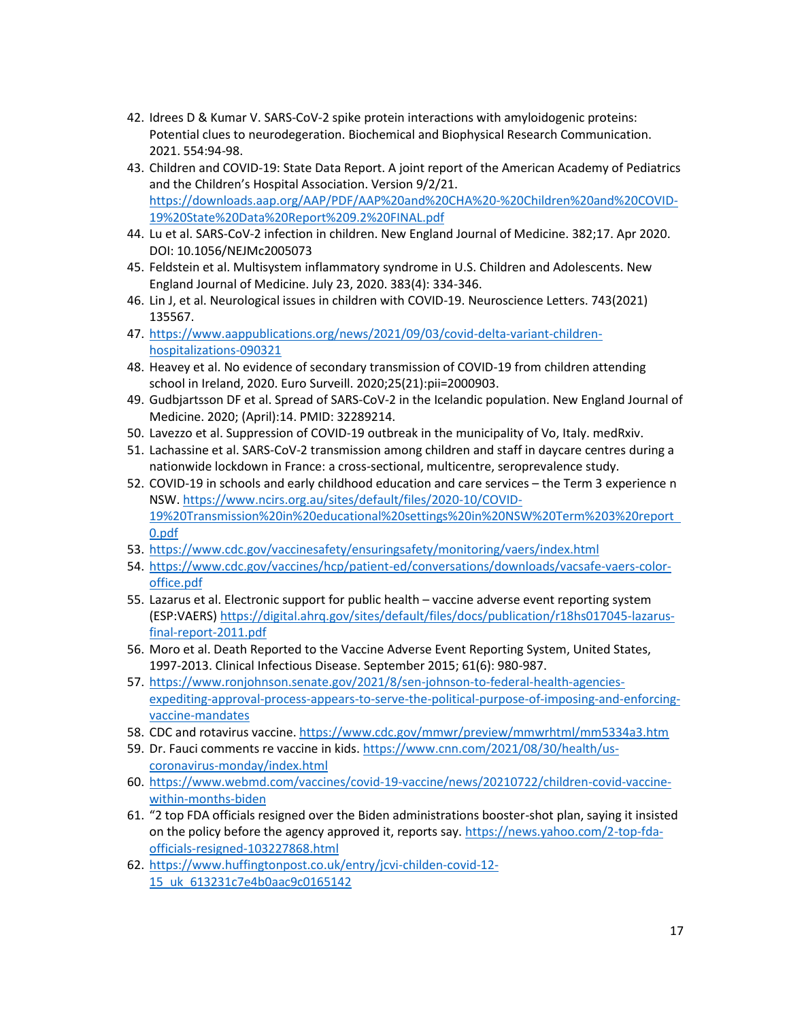- 42. Idrees D & Kumar V. SARS-CoV-2 spike protein interactions with amyloidogenic proteins: Potential clues to neurodegeration. Biochemical and Biophysical Research Communication. 2021. 554:94-98.
- 43. Children and COVID-19: State Data Report. A joint report of the American Academy of Pediatrics and the Children's Hospital Association. Version 9/2/21. https://downloads.aap.org/AAP/PDF/AAP%20and%20CHA%20-%20Children%20and%20COVID-19%20State%20Data%20Report%209.2%20FINAL.pdf
- 44. Lu et al. SARS-CoV-2 infection in children. New England Journal of Medicine. 382;17. Apr 2020. DOI: 10.1056/NEJMc2005073
- 45. Feldstein et al. Multisystem inflammatory syndrome in U.S. Children and Adolescents. New England Journal of Medicine. July 23, 2020. 383(4): 334-346.
- 46. Lin J, et al. Neurological issues in children with COVID-19. Neuroscience Letters. 743(2021) 135567.
- 47. https://www.aappublications.org/news/2021/09/03/covid-delta-variant-childrenhospitalizations-090321
- 48. Heavey et al. No evidence of secondary transmission of COVID-19 from children attending school in Ireland, 2020. Euro Surveill. 2020;25(21):pii=2000903.
- 49. Gudbjartsson DF et al. Spread of SARS-CoV-2 in the Icelandic population. New England Journal of Medicine. 2020; (April):14. PMID: 32289214.
- 50. Lavezzo et al. Suppression of COVID-19 outbreak in the municipality of Vo, Italy. medRxiv.
- 51. Lachassine et al. SARS-CoV-2 transmission among children and staff in daycare centres during a nationwide lockdown in France: a cross-sectional, multicentre, seroprevalence study.
- 52. COVID-19 in schools and early childhood education and care services the Term 3 experience n NSW. https://www.ncirs.org.au/sites/default/files/2020-10/COVID-19%20Transmission%20in%20educational%20settings%20in%20NSW%20Term%203%20report 0.pdf
- 53. https://www.cdc.gov/vaccinesafety/ensuringsafety/monitoring/vaers/index.html
- 54. https://www.cdc.gov/vaccines/hcp/patient-ed/conversations/downloads/vacsafe-vaers-coloroffice.pdf
- 55. Lazarus et al. Electronic support for public health vaccine adverse event reporting system (ESP:VAERS) https://digital.ahrq.gov/sites/default/files/docs/publication/r18hs017045-lazarusfinal-report-2011.pdf
- 56. Moro et al. Death Reported to the Vaccine Adverse Event Reporting System, United States, 1997-2013. Clinical Infectious Disease. September 2015; 61(6): 980-987.
- 57. https://www.ronjohnson.senate.gov/2021/8/sen-johnson-to-federal-health-agenciesexpediting-approval-process-appears-to-serve-the-political-purpose-of-imposing-and-enforcingvaccine-mandates
- 58. CDC and rotavirus vaccine. https://www.cdc.gov/mmwr/preview/mmwrhtml/mm5334a3.htm
- 59. Dr. Fauci comments re vaccine in kids. https://www.cnn.com/2021/08/30/health/uscoronavirus-monday/index.html
- 60. https://www.webmd.com/vaccines/covid-19-vaccine/news/20210722/children-covid-vaccinewithin-months-biden
- 61. "2 top FDA officials resigned over the Biden administrations booster-shot plan, saying it insisted on the policy before the agency approved it, reports say. https://news.yahoo.com/2-top-fdaofficials-resigned-103227868.html
- 62. https://www.huffingtonpost.co.uk/entry/jcvi-childen-covid-12- 15 uk 613231c7e4b0aac9c0165142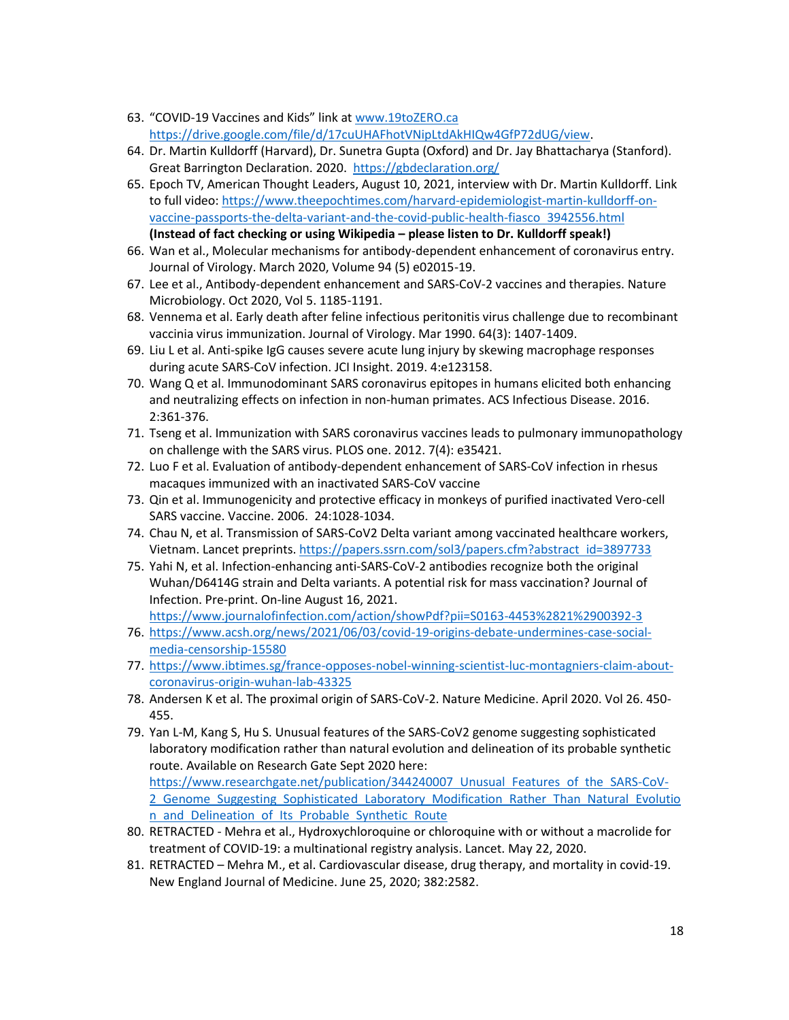- 63. "COVID-19 Vaccines and Kids" link at www.19toZERO.ca https://drive.google.com/file/d/17cuUHAFhotVNipLtdAkHIQw4GfP72dUG/view.
- 64. Dr. Martin Kulldorff (Harvard), Dr. Sunetra Gupta (Oxford) and Dr. Jay Bhattacharya (Stanford). Great Barrington Declaration. 2020. https://gbdeclaration.org/
- 65. Epoch TV, American Thought Leaders, August 10, 2021, interview with Dr. Martin Kulldorff. Link to full video: https://www.theepochtimes.com/harvard-epidemiologist-martin-kulldorff-onvaccine-passports-the-delta-variant-and-the-covid-public-health-fiasco 3942556.html **(Instead of fact checking or using Wikipedia – please listen to Dr. Kulldorff speak!)**
- 66. Wan et al., Molecular mechanisms for antibody-dependent enhancement of coronavirus entry. Journal of Virology. March 2020, Volume 94 (5) e02015-19.
- 67. Lee et al., Antibody-dependent enhancement and SARS-CoV-2 vaccines and therapies. Nature Microbiology. Oct 2020, Vol 5. 1185-1191.
- 68. Vennema et al. Early death after feline infectious peritonitis virus challenge due to recombinant vaccinia virus immunization. Journal of Virology. Mar 1990. 64(3): 1407-1409.
- 69. Liu L et al. Anti-spike IgG causes severe acute lung injury by skewing macrophage responses during acute SARS-CoV infection. JCI Insight. 2019. 4:e123158.
- 70. Wang Q et al. Immunodominant SARS coronavirus epitopes in humans elicited both enhancing and neutralizing effects on infection in non-human primates. ACS Infectious Disease. 2016. 2:361-376.
- 71. Tseng et al. Immunization with SARS coronavirus vaccines leads to pulmonary immunopathology on challenge with the SARS virus. PLOS one. 2012. 7(4): e35421.
- 72. Luo F et al. Evaluation of antibody-dependent enhancement of SARS-CoV infection in rhesus macaques immunized with an inactivated SARS-CoV vaccine
- 73. Qin et al. Immunogenicity and protective efficacy in monkeys of purified inactivated Vero-cell SARS vaccine. Vaccine. 2006. 24:1028-1034.
- 74. Chau N, et al. Transmission of SARS-CoV2 Delta variant among vaccinated healthcare workers, Vietnam. Lancet preprints. https://papers.ssrn.com/sol3/papers.cfm?abstract id=3897733
- 75. Yahi N, et al. Infection-enhancing anti-SARS-CoV-2 antibodies recognize both the original Wuhan/D6414G strain and Delta variants. A potential risk for mass vaccination? Journal of Infection. Pre-print. On-line August 16, 2021. https://www.journalofinfection.com/action/showPdf?pii=S0163-4453%2821%2900392-3
- 76. https://www.acsh.org/news/2021/06/03/covid-19-origins-debate-undermines-case-socialmedia-censorship-15580
- 77. https://www.ibtimes.sg/france-opposes-nobel-winning-scientist-luc-montagniers-claim-aboutcoronavirus-origin-wuhan-lab-43325
- 78. Andersen K et al. The proximal origin of SARS-CoV-2. Nature Medicine. April 2020. Vol 26. 450- 455.
- 79. Yan L-M, Kang S, Hu S. Unusual features of the SARS-CoV2 genome suggesting sophisticated laboratory modification rather than natural evolution and delineation of its probable synthetic route. Available on Research Gate Sept 2020 here: https://www.researchgate.net/publication/344240007 Unusual Features of the SARS-CoV-2 Genome Suggesting Sophisticated Laboratory Modification Rather Than Natural Evolutio n and Delineation of Its Probable Synthetic Route
- 80. RETRACTED Mehra et al., Hydroxychloroquine or chloroquine with or without a macrolide for treatment of COVID-19: a multinational registry analysis. Lancet. May 22, 2020.
- 81. RETRACTED Mehra M., et al. Cardiovascular disease, drug therapy, and mortality in covid-19. New England Journal of Medicine. June 25, 2020; 382:2582.